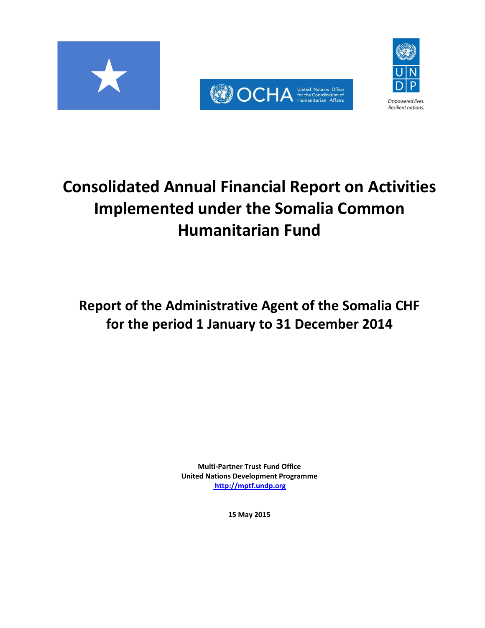





# **Consolidated Annual Financial Report on Activities Implemented under the Somalia Common Humanitarian Fund**

**Report of the Administrative Agent of the Somalia CHF for the period 1 January to 31 December 2014**

> **Multi-Partner Trust Fund Office United Nations Development Programme [http://mptf.undp.org](http://mptf.undp.org/)**

> > **15 May 2015**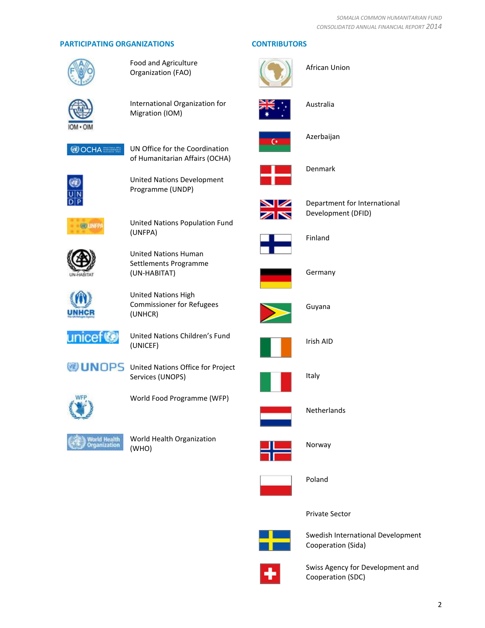# **PARTICIPATING ORGANIZATIONS CONTRIBUTORS**



Food and Agriculture Organization (FAO)



International Organization for Migration (IOM)







United Nations Development Programme (UNDP)



United Nations Population Fund (UNFPA)



United Nations Human Settlements Programme (UN-HABITAT)



United Nations High Commissioner for Refugees (UNHCR)



United Nations Children's Fund (UNICEF)

**UNOPS** United Nations Office for Project Services (UNOPS)







World Health Organization (WHO)



Norway

Poland



Private Sector



Swedish International Development Cooperation (Sida)



Swiss Agency for Development and Cooperation (SDC)





African Union



Australia



Azerbaijan



Denmark



Department for International Development (DFID)



Finland



Germany



Guyana



Irish AID



Italy



Netherlands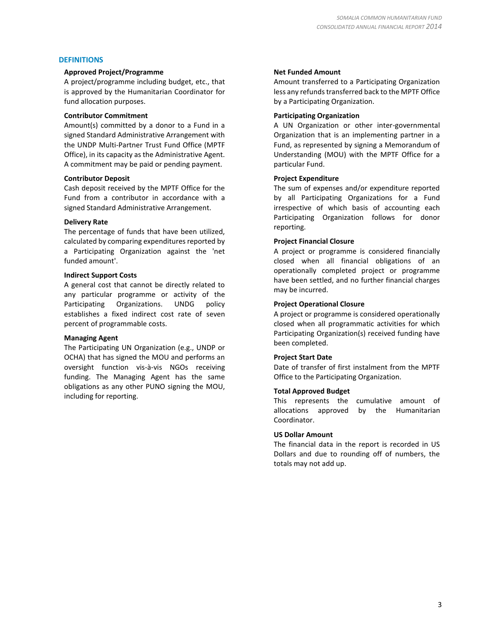# **DEFINITIONS**

#### **Approved Project/Programme**

A project/programme including budget, etc., that is approved by the Humanitarian Coordinator for fund allocation purposes.

# **Contributor Commitment**

Amount(s) committed by a donor to a Fund in a signed Standard Administrative Arrangement with the UNDP Multi-Partner Trust Fund Office (MPTF Office), in its capacity as the Administrative Agent. A commitment may be paid or pending payment.

# **Contributor Deposit**

Cash deposit received by the MPTF Office for the Fund from a contributor in accordance with a signed Standard Administrative Arrangement.

# **Delivery Rate**

The percentage of funds that have been utilized, calculated by comparing expenditures reported by a Participating Organization against the 'net funded amount'.

# **Indirect Support Costs**

A general cost that cannot be directly related to any particular programme or activity of the Participating Organizations. UNDG policy establishes a fixed indirect cost rate of seven percent of programmable costs.

# **Managing Agent**

The Participating UN Organization (e.g., UNDP or OCHA) that has signed the MOU and performs an oversight function vis-à-vis NGOs receiving funding. The Managing Agent has the same obligations as any other PUNO signing the MOU, including for reporting.

# **Net Funded Amount**

Amount transferred to a Participating Organization less any refunds transferred back to the MPTF Office by a Participating Organization.

# **Participating Organization**

A UN Organization or other inter-governmental Organization that is an implementing partner in a Fund, as represented by signing a Memorandum of Understanding (MOU) with the MPTF Office for a particular Fund.

# **Project Expenditure**

The sum of expenses and/or expenditure reported by all Participating Organizations for a Fund irrespective of which basis of accounting each Participating Organization follows for donor reporting.

# **Project Financial Closure**

A project or programme is considered financially closed when all financial obligations of an operationally completed project or programme have been settled, and no further financial charges may be incurred.

# **Project Operational Closure**

A project or programme is considered operationally closed when all programmatic activities for which Participating Organization(s) received funding have been completed.

# **Project Start Date**

Date of transfer of first instalment from the MPTF Office to the Participating Organization.

# **Total Approved Budget**

This represents the cumulative amount of allocations approved by the Humanitarian Coordinator.

# **US Dollar Amount**

The financial data in the report is recorded in US Dollars and due to rounding off of numbers, the totals may not add up.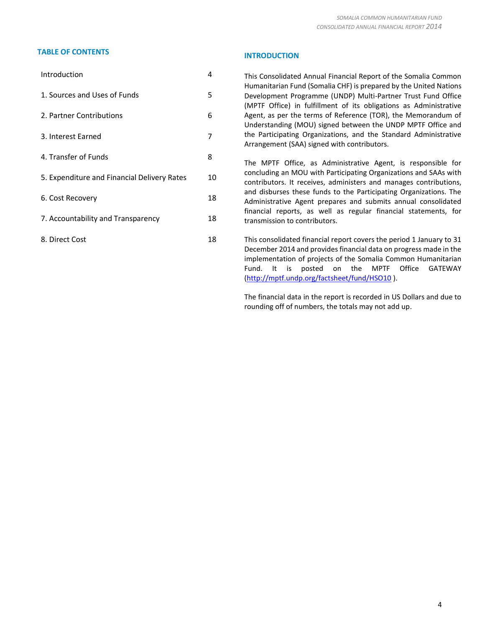# **TABLE OF CONTENTS INTRODUCTION**

| Introduction                                | 4  |
|---------------------------------------------|----|
| 1. Sources and Uses of Funds                | 5  |
| 2. Partner Contributions                    | 6  |
| 3. Interest Earned                          | 7  |
| 4. Transfer of Funds                        | 8  |
| 5. Expenditure and Financial Delivery Rates | 10 |
| 6. Cost Recovery                            | 18 |
| 7. Accountability and Transparency          | 18 |
| 8. Direct Cost                              | 18 |
|                                             |    |

This Consolidated Annual Financial Report of the Somalia Common Humanitarian Fund (Somalia CHF) is prepared by the United Nations Development Programme (UNDP) Multi-Partner Trust Fund Office (MPTF Office) in fulfillment of its obligations as Administrative Agent, as per the terms of Reference (TOR), the Memorandum of Understanding (MOU) signed between the UNDP MPTF Office and the Participating Organizations, and the Standard Administrative Arrangement (SAA) signed with contributors.

The MPTF Office, as Administrative Agent, is responsible for concluding an MOU with Participating Organizations and SAAs with contributors. It receives, administers and manages contributions, and disburses these funds to the Participating Organizations. The Administrative Agent prepares and submits annual consolidated financial reports, as well as regular financial statements, for transmission to contributors.

This consolidated financial report covers the period 1 January to 31 December 2014 and provides financial data on progress made in the implementation of projects of the Somalia Common Humanitarian Fund. It is posted on the MPTF Office GATEWAY [\(http://mptf.undp.org/factsheet/fund/HSO10](http://mptf.undp.org/factsheet/fund/HSO10) ).

The financial data in the report is recorded in US Dollars and due to rounding off of numbers, the totals may not add up.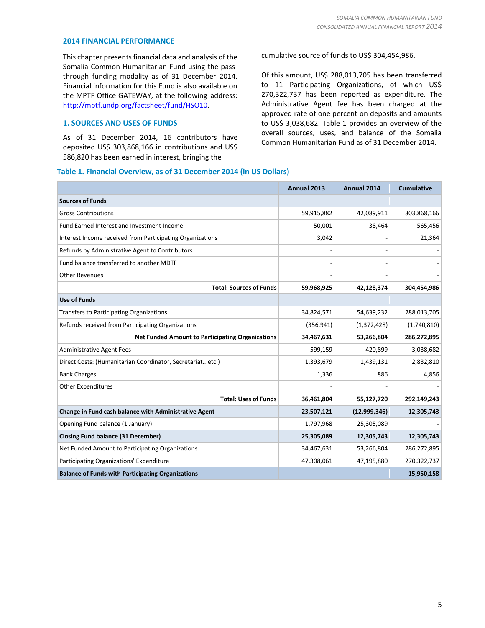#### **2014 FINANCIAL PERFORMANCE**

This chapter presents financial data and analysis of the Somalia Common Humanitarian Fund using the passthrough funding modality as of 31 December 2014. Financial information for this Fund is also available on the MPTF Office GATEWAY, at the following address: [http://mptf.undp.org/factsheet/fund/HSO10.](http://mptf.undp.org/factsheet/fund/HSO10)

# **1. SOURCES AND USES OF FUNDS**

As of 31 December 2014, 16 contributors have deposited US\$ 303,868,166 in contributions and US\$ 586,820 has been earned in interest, bringing the

# **Table 1. Financial Overview, as of 31 December 2014 (in US Dollars)**

cumulative source of funds to US\$ 304,454,986.

Of this amount, US\$ 288,013,705 has been transferred to 11 Participating Organizations, of which US\$ 270,322,737 has been reported as expenditure. The Administrative Agent fee has been charged at the approved rate of one percent on deposits and amounts to US\$ 3,038,682. Table 1 provides an overview of the overall sources, uses, and balance of the Somalia Common Humanitarian Fund as of 31 December 2014.

|                                                           | Annual 2013 | <b>Annual 2014</b> | <b>Cumulative</b> |
|-----------------------------------------------------------|-------------|--------------------|-------------------|
| <b>Sources of Funds</b>                                   |             |                    |                   |
| <b>Gross Contributions</b>                                | 59,915,882  | 42,089,911         | 303,868,166       |
| Fund Earned Interest and Investment Income                | 50,001      | 38,464             | 565,456           |
| Interest Income received from Participating Organizations | 3,042       |                    | 21,364            |
| Refunds by Administrative Agent to Contributors           |             |                    |                   |
| Fund balance transferred to another MDTF                  |             |                    |                   |
| <b>Other Revenues</b>                                     |             |                    |                   |
| <b>Total: Sources of Funds</b>                            | 59,968,925  | 42,128,374         | 304,454,986       |
| <b>Use of Funds</b>                                       |             |                    |                   |
| <b>Transfers to Participating Organizations</b>           | 34,824,571  | 54,639,232         | 288,013,705       |
| Refunds received from Participating Organizations         | (356, 941)  | (1,372,428)        | (1,740,810)       |
| <b>Net Funded Amount to Participating Organizations</b>   | 34,467,631  | 53,266,804         | 286,272,895       |
| <b>Administrative Agent Fees</b>                          | 599,159     | 420,899            | 3,038,682         |
| Direct Costs: (Humanitarian Coordinator, Secretariatetc.) | 1,393,679   | 1,439,131          | 2,832,810         |
| <b>Bank Charges</b>                                       | 1,336       | 886                | 4,856             |
| <b>Other Expenditures</b>                                 |             |                    |                   |
| <b>Total: Uses of Funds</b>                               | 36,461,804  | 55,127,720         | 292,149,243       |
| Change in Fund cash balance with Administrative Agent     | 23,507,121  | (12,999,346)       | 12,305,743        |
| Opening Fund balance (1 January)                          | 1,797,968   | 25,305,089         |                   |
| <b>Closing Fund balance (31 December)</b>                 | 25,305,089  | 12,305,743         | 12,305,743        |
| Net Funded Amount to Participating Organizations          | 34,467,631  | 53,266,804         | 286,272,895       |
| Participating Organizations' Expenditure                  | 47,308,061  | 47,195,880         | 270,322,737       |
| <b>Balance of Funds with Participating Organizations</b>  |             |                    | 15,950,158        |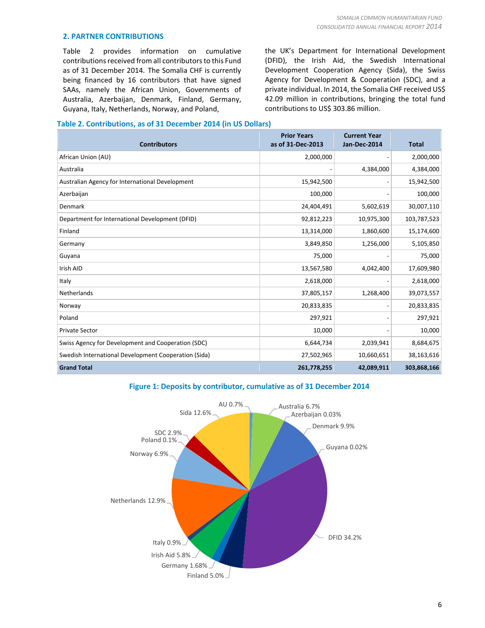# **2. PARTNER CONTRIBUTIONS**

Table 2 provides information on cumulative contributions received from all contributors to this Fund as of 31 December 2014. The Somalia CHF is currently being financed by 16 contributors that have signed SAAs, namely the African Union, Governments of Australia, Azerbaijan, Denmark, Finland, Germany, Guyana, Italy, Netherlands, Norway, and Poland,

the UK's Department for International Development (DFID), the Irish Aid, the Swedish International Development Cooperation Agency (Sida), the Swiss Agency for Development & Cooperation (SDC), and a private individual. In 2014, the Somalia CHF received US\$ 42.09 million in contributions, bringing the total fund contributions to US\$ 303.86 million.

# **Table 2. Contributions, as of 31 December 2014 (in US Dollars)**

| <b>Contributors</b>                                  | <b>Prior Years</b><br>as of 31-Dec-2013 | <b>Current Year</b><br>Jan-Dec-2014 | <b>Total</b> |
|------------------------------------------------------|-----------------------------------------|-------------------------------------|--------------|
| African Union (AU)                                   | 2,000,000                               |                                     | 2,000,000    |
| Australia                                            |                                         | 4,384,000                           | 4,384,000    |
| Australian Agency for International Development      | 15,942,500                              |                                     | 15,942,500   |
| Azerbaijan                                           | 100,000                                 |                                     | 100,000      |
| Denmark                                              | 24,404,491                              | 5,602,619                           | 30,007,110   |
| Department for International Development (DFID)      | 92,812,223                              | 10,975,300                          | 103,787,523  |
| Finland                                              | 13,314,000                              | 1,860,600                           | 15,174,600   |
| Germany                                              | 3,849,850                               | 1,256,000                           | 5,105,850    |
| Guyana                                               | 75,000                                  |                                     | 75,000       |
| Irish AID                                            | 13,567,580                              | 4,042,400                           | 17,609,980   |
| Italy                                                | 2,618,000                               |                                     | 2,618,000    |
| Netherlands                                          | 37,805,157                              | 1,268,400                           | 39,073,557   |
| Norway                                               | 20,833,835                              |                                     | 20,833,835   |
| Poland                                               | 297,921                                 |                                     | 297,921      |
| <b>Private Sector</b>                                | 10,000                                  |                                     | 10,000       |
| Swiss Agency for Development and Cooperation (SDC)   | 6,644,734                               | 2,039,941                           | 8,684,675    |
| Swedish International Development Cooperation (Sida) | 27,502,965                              | 10,660,651                          | 38,163,616   |
| <b>Grand Total</b>                                   | 261,778,255                             | 42,089,911                          | 303,868,166  |

# **Figure 1: Deposits by contributor, cumulative as of 31 December 2014**

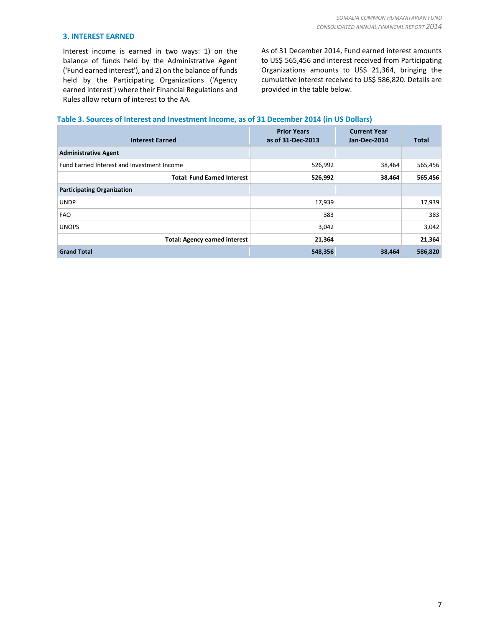# **3. INTEREST EARNED**

Interest income is earned in two ways: 1) on the balance of funds held by the Administrative Agent ('Fund earned interest'), and 2) on the balance of funds held by the Participating Organizations ('Agency earned interest') where their Financial Regulations and Rules allow return of interest to the AA.

As of 31 December 2014, Fund earned interest amounts to US\$ 565,456 and interest received from Participating Organizations amounts to US\$ 21,364, bringing the cumulative interest received to US\$ 586,820. Details are provided in the table below.

# **Table 3. Sources of Interest and Investment Income, as of 31 December 2014 (in US Dollars)**

| <b>Interest Earned</b>                     | <b>Prior Years</b><br>as of 31-Dec-2013 | <b>Current Year</b><br>Jan-Dec-2014 | <b>Total</b> |
|--------------------------------------------|-----------------------------------------|-------------------------------------|--------------|
| <b>Administrative Agent</b>                |                                         |                                     |              |
| Fund Earned Interest and Investment Income | 526,992                                 | 38,464                              | 565,456      |
| <b>Total: Fund Earned Interest</b>         | 526,992                                 | 38,464                              | 565,456      |
| <b>Participating Organization</b>          |                                         |                                     |              |
| <b>UNDP</b>                                | 17,939                                  |                                     | 17,939       |
| FAO                                        | 383                                     |                                     | 383          |
| <b>UNOPS</b>                               | 3,042                                   |                                     | 3,042        |
| <b>Total: Agency earned interest</b>       | 21,364                                  |                                     | 21,364       |
| <b>Grand Total</b>                         | 548,356                                 | 38,464                              | 586,820      |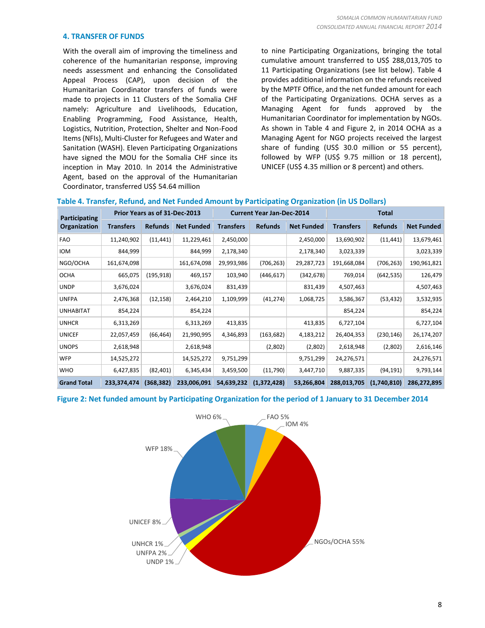# **4. TRANSFER OF FUNDS**

With the overall aim of improving the timeliness and coherence of the humanitarian response, improving needs assessment and enhancing the Consolidated Appeal Process (CAP), upon decision of the Humanitarian Coordinator transfers of funds were made to projects in 11 Clusters of the Somalia CHF namely: Agriculture and Livelihoods, Education, Enabling Programming, Food Assistance, Health, Logistics, Nutrition, Protection, Shelter and Non-Food Items(NFIs), Multi-Cluster for Refugees and Water and Sanitation (WASH). Eleven Participating Organizations have signed the MOU for the Somalia CHF since its inception in May 2010. In 2014 the Administrative Agent, based on the approval of the Humanitarian Coordinator, transferred US\$ 54.64 million

to nine Participating Organizations, bringing the total cumulative amount transferred to US\$ 288,013,705 to 11 Participating Organizations (see list below). Table 4 provides additional information on the refunds received by the MPTF Office, and the net funded amount for each of the Participating Organizations. OCHA serves as a Managing Agent for funds approved by the Humanitarian Coordinator for implementation by NGOs. As shown in Table 4 and Figure 2, in 2014 OCHA as a Managing Agent for NGO projects received the largest share of funding (US\$ 30.0 million or 55 percent), followed by WFP (US\$ 9.75 million or 18 percent), UNICEF (US\$ 4.35 million or 8 percent) and others.

| Participating      | Prior Years as of 31-Dec-2013 |                |                   | <b>Current Year Jan-Dec-2014</b> |                |                   | <b>Total</b>     |                |                   |
|--------------------|-------------------------------|----------------|-------------------|----------------------------------|----------------|-------------------|------------------|----------------|-------------------|
| Organization       | <b>Transfers</b>              | <b>Refunds</b> | <b>Net Funded</b> | <b>Transfers</b>                 | <b>Refunds</b> | <b>Net Funded</b> | <b>Transfers</b> | <b>Refunds</b> | <b>Net Funded</b> |
| <b>FAO</b>         | 11,240,902                    | (11, 441)      | 11,229,461        | 2,450,000                        |                | 2,450,000         | 13,690,902       | (11, 441)      | 13,679,461        |
| <b>IOM</b>         | 844,999                       |                | 844,999           | 2,178,340                        |                | 2,178,340         | 3,023,339        |                | 3,023,339         |
| NGO/OCHA           | 161,674,098                   |                | 161,674,098       | 29,993,986                       | (706, 263)     | 29,287,723        | 191,668,084      | (706, 263)     | 190,961,821       |
| <b>OCHA</b>        | 665,075                       | (195, 918)     | 469,157           | 103,940                          | (446, 617)     | (342, 678)        | 769,014          | (642, 535)     | 126,479           |
| <b>UNDP</b>        | 3,676,024                     |                | 3,676,024         | 831,439                          |                | 831,439           | 4,507,463        |                | 4,507,463         |
| <b>UNFPA</b>       | 2,476,368                     | (12, 158)      | 2,464,210         | 1,109,999                        | (41, 274)      | 1,068,725         | 3,586,367        | (53, 432)      | 3,532,935         |
| <b>UNHABITAT</b>   | 854,224                       |                | 854,224           |                                  |                |                   | 854,224          |                | 854,224           |
| <b>UNHCR</b>       | 6,313,269                     |                | 6,313,269         | 413,835                          |                | 413,835           | 6,727,104        |                | 6,727,104         |
| <b>UNICEF</b>      | 22,057,459                    | (66, 464)      | 21,990,995        | 4,346,893                        | (163, 682)     | 4,183,212         | 26,404,353       | (230, 146)     | 26,174,207        |
| <b>UNOPS</b>       | 2,618,948                     |                | 2,618,948         |                                  | (2,802)        | (2,802)           | 2,618,948        | (2,802)        | 2,616,146         |
| <b>WFP</b>         | 14,525,272                    |                | 14,525,272        | 9,751,299                        |                | 9,751,299         | 24,276,571       |                | 24,276,571        |
| <b>WHO</b>         | 6,427,835                     | (82, 401)      | 6,345,434         | 3,459,500                        | (11,790)       | 3,447,710         | 9,887,335        | (94, 191)      | 9,793,144         |
| <b>Grand Total</b> | 233,374,474                   | (368, 382)     | 233,006,091       | 54,639,232                       | (1,372,428)    | 53,266,804        | 288,013,705      | (1,740,810)    | 286,272,895       |

# **Table 4. Transfer, Refund, and Net Funded Amount by Participating Organization (in US Dollars)**

# **Figure 2: Net funded amount by Participating Organization for the period of 1 January to 31 December 2014**

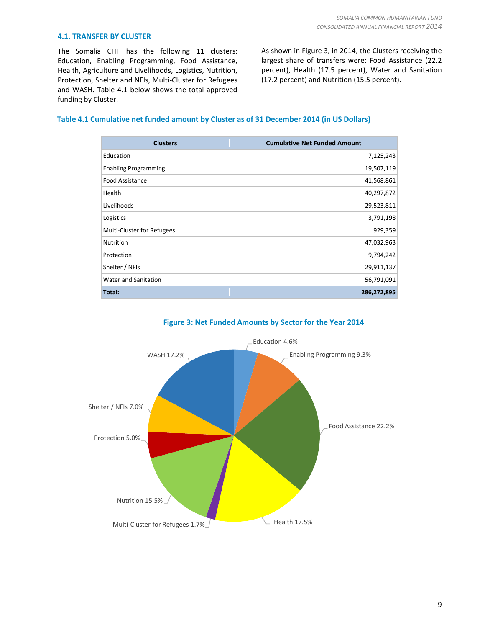# **4.1. TRANSFER BY CLUSTER**

The Somalia CHF has the following 11 clusters: Education, Enabling Programming, Food Assistance, Health, Agriculture and Livelihoods, Logistics, Nutrition, Protection, Shelter and NFIs, Multi-Cluster for Refugees and WASH. Table 4.1 below shows the total approved funding by Cluster.

As shown in Figure 3, in 2014, the Clusters receiving the largest share of transfers were: Food Assistance (22.2 percent), Health (17.5 percent), Water and Sanitation (17.2 percent) and Nutrition (15.5 percent).

# **Table 4.1 Cumulative net funded amount by Cluster as of 31 December 2014 (in US Dollars)**

| <b>Clusters</b>             | <b>Cumulative Net Funded Amount</b> |
|-----------------------------|-------------------------------------|
| Education                   | 7,125,243                           |
| <b>Enabling Programming</b> | 19,507,119                          |
| <b>Food Assistance</b>      | 41,568,861                          |
| Health                      | 40,297,872                          |
| Livelihoods                 | 29,523,811                          |
| Logistics                   | 3,791,198                           |
| Multi-Cluster for Refugees  | 929,359                             |
| Nutrition                   | 47,032,963                          |
| Protection                  | 9,794,242                           |
| Shelter / NFIs              | 29,911,137                          |
| Water and Sanitation        | 56,791,091                          |
| Total:                      | 286,272,895                         |



# **Figure 3: Net Funded Amounts by Sector for the Year 2014**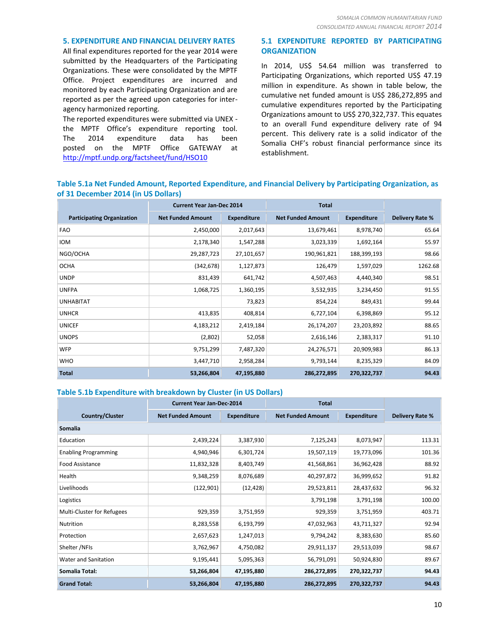# **5. EXPENDITURE AND FINANCIAL DELIVERY RATES**

All final expenditures reported for the year 2014 were submitted by the Headquarters of the Participating Organizations. These were consolidated by the MPTF Office. Project expenditures are incurred and monitored by each Participating Organization and are reported as per the agreed upon categories for interagency harmonized reporting.

The reported expenditures were submitted via UNEX the MPTF Office's expenditure reporting tool. The 2014 expenditure data has been posted on the MPTF Office GATEWAY at <http://mptf.undp.org/factsheet/fund/HSO10>

# **5.1 EXPENDITURE REPORTED BY PARTICIPATING ORGANIZATION**

In 2014, US\$ 54.64 million was transferred to Participating Organizations, which reported US\$ 47.19 million in expenditure. As shown in table below, the cumulative net funded amount is US\$ 286,272,895 and cumulative expenditures reported by the Participating Organizations amount to US\$ 270,322,737. This equates to an overall Fund expenditure delivery rate of 94 percent. This delivery rate is a solid indicator of the Somalia CHF's robust financial performance since its establishment.

# **Table 5.1a Net Funded Amount, Reported Expenditure, and Financial Delivery by Participating Organization, as of 31 December 2014 (in US Dollars)**

|                                   | <b>Current Year Jan-Dec 2014</b> |                    | <b>Total</b>             |                    |                        |
|-----------------------------------|----------------------------------|--------------------|--------------------------|--------------------|------------------------|
| <b>Participating Organization</b> | <b>Net Funded Amount</b>         | <b>Expenditure</b> | <b>Net Funded Amount</b> | <b>Expenditure</b> | <b>Delivery Rate %</b> |
| <b>FAO</b>                        | 2,450,000                        | 2,017,643          | 13,679,461               | 8,978,740          | 65.64                  |
| <b>IOM</b>                        | 2,178,340                        | 1,547,288          | 3,023,339                | 1,692,164          | 55.97                  |
| NGO/OCHA                          | 29,287,723                       | 27,101,657         | 190,961,821              | 188,399,193        | 98.66                  |
| <b>OCHA</b>                       | (342, 678)                       | 1,127,873          | 126,479                  | 1,597,029          | 1262.68                |
| <b>UNDP</b>                       | 831,439                          | 641,742            | 4,507,463                | 4,440,340          | 98.51                  |
| <b>UNFPA</b>                      | 1,068,725                        | 1,360,195          | 3,532,935                | 3,234,450          | 91.55                  |
| <b>UNHABITAT</b>                  |                                  | 73,823             | 854,224                  | 849,431            | 99.44                  |
| <b>UNHCR</b>                      | 413,835                          | 408,814            | 6,727,104                | 6,398,869          | 95.12                  |
| <b>UNICEF</b>                     | 4,183,212                        | 2,419,184          | 26,174,207               | 23,203,892         | 88.65                  |
| <b>UNOPS</b>                      | (2,802)                          | 52,058             | 2,616,146                | 2,383,317          | 91.10                  |
| <b>WFP</b>                        | 9,751,299                        | 7,487,320          | 24,276,571               | 20,909,983         | 86.13                  |
| <b>WHO</b>                        | 3,447,710                        | 2,958,284          | 9,793,144                | 8,235,329          | 84.09                  |
| <b>Total</b>                      | 53,266,804                       | 47,195,880         | 286,272,895              | 270,322,737        | 94.43                  |

# **Table 5.1b Expenditure with breakdown by Cluster (in US Dollars)**

|                                   | <b>Total</b><br><b>Current Year Jan-Dec-2014</b> |                    |                          |                    |                 |  |  |  |
|-----------------------------------|--------------------------------------------------|--------------------|--------------------------|--------------------|-----------------|--|--|--|
| <b>Country/Cluster</b>            | <b>Net Funded Amount</b>                         | <b>Expenditure</b> | <b>Net Funded Amount</b> | <b>Expenditure</b> | Delivery Rate % |  |  |  |
| <b>Somalia</b>                    |                                                  |                    |                          |                    |                 |  |  |  |
| Education                         | 2,439,224                                        | 3,387,930          | 7,125,243                | 8,073,947          | 113.31          |  |  |  |
| <b>Enabling Programming</b>       | 4,940,946                                        | 6,301,724          | 19,507,119               | 19,773,096         | 101.36          |  |  |  |
| Food Assistance                   | 11,832,328                                       | 8,403,749          | 41,568,861               | 36,962,428         | 88.92           |  |  |  |
| Health                            | 9,348,259                                        | 8,076,689          | 40,297,872               | 36,999,652         | 91.82           |  |  |  |
| Livelihoods                       | (122, 901)                                       | (12, 428)          | 29,523,811               | 28,437,632         | 96.32           |  |  |  |
| Logistics                         |                                                  |                    | 3,791,198                | 3,791,198          | 100.00          |  |  |  |
| <b>Multi-Cluster for Refugees</b> | 929,359                                          | 3,751,959          | 929,359                  | 3,751,959          | 403.71          |  |  |  |
| Nutrition                         | 8,283,558                                        | 6,193,799          | 47,032,963               | 43,711,327         | 92.94           |  |  |  |
| Protection                        | 2,657,623                                        | 1,247,013          | 9,794,242                | 8,383,630          | 85.60           |  |  |  |
| Shelter /NFIs                     | 3,762,967                                        | 4,750,082          | 29,911,137               | 29,513,039         | 98.67           |  |  |  |
| Water and Sanitation              | 9,195,441                                        | 5,095,363          | 56,791,091               | 50,924,830         | 89.67           |  |  |  |
| Somalia Total:                    | 53,266,804                                       | 47,195,880         | 286,272,895              | 270,322,737        | 94.43           |  |  |  |
| <b>Grand Total:</b>               | 53,266,804                                       | 47,195,880         | 286,272,895              | 270,322,737        | 94.43           |  |  |  |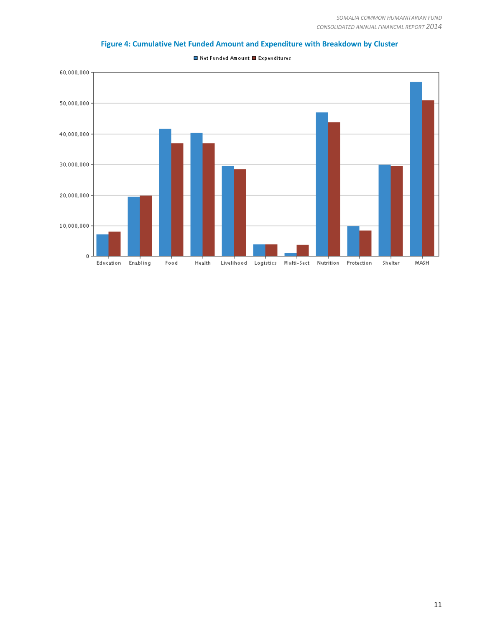

**Figure 4: Cumulative Net Funded Amount and Expenditure with Breakdown by Cluster**

■ Net Funded Amount ■ Expenditures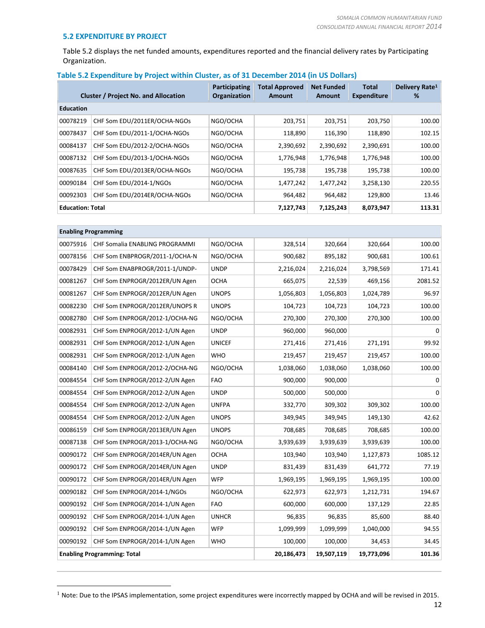# **5.2 EXPENDITURE BY PROJECT**

 $\overline{a}$ 

Table 5.2 displays the net funded amounts, expenditures reported and the financial delivery rates by Participating Organization.

# **Table 5.2 Expenditure by Project within Cluster, as of 31 December 2014 (in US Dollars)**

|                         | <b>Cluster / Project No. and Allocation</b> | <b>Participating</b><br>Organization | <b>Total Approved</b><br>Amount | <b>Net Funded</b><br>Amount | <b>Total</b><br><b>Expenditure</b> | Delivery Rate <sup>1</sup><br>% |
|-------------------------|---------------------------------------------|--------------------------------------|---------------------------------|-----------------------------|------------------------------------|---------------------------------|
| <b>Education</b>        |                                             |                                      |                                 |                             |                                    |                                 |
| 00078219                | CHF Som EDU/2011ER/OCHA-NGOs                | NGO/OCHA                             | 203,751                         | 203,751                     | 203,750                            | 100.00                          |
| 00078437                | CHF Som EDU/2011-1/OCHA-NGOs                | NGO/OCHA                             | 118,890                         | 116,390                     | 118,890                            | 102.15                          |
| 00084137                | CHF Som EDU/2012-2/OCHA-NGOs                | NGO/OCHA                             | 2,390,692                       | 2,390,692                   | 2,390,691                          | 100.00                          |
| 00087132                | CHF Som EDU/2013-1/OCHA-NGOs                | NGO/OCHA                             | 1,776,948                       | 1,776,948                   | 1,776,948                          | 100.00                          |
| 00087635                | CHF Som EDU/2013ER/OCHA-NGOs                | NGO/OCHA                             | 195,738                         | 195,738                     | 195,738                            | 100.00                          |
| 00090184                | CHF Som EDU/2014-1/NGOs                     | NGO/OCHA                             | 1,477,242                       | 1,477,242                   | 3,258,130                          | 220.55                          |
| 00092303                | CHF Som EDU/2014ER/OCHA-NGOs                | NGO/OCHA                             | 964,482                         | 964,482                     | 129,800                            | 13.46                           |
| <b>Education: Total</b> |                                             | 7,127,743                            | 7,125,243                       | 8,073,947                   | 113.31                             |                                 |

|          | <b>Enabling Programming</b>        |               |           |            |            |         |
|----------|------------------------------------|---------------|-----------|------------|------------|---------|
| 00075916 | CHF Somalia ENABLING PROGRAMMI     | NGO/OCHA      | 328,514   | 320,664    | 320,664    | 100.00  |
| 00078156 | CHF Som ENBPROGR/2011-1/OCHA-N     | NGO/OCHA      | 900,682   | 895,182    | 900,681    | 100.61  |
| 00078429 | CHF Som ENABPROGR/2011-1/UNDP-     | <b>UNDP</b>   | 2,216,024 | 2,216,024  | 3,798,569  | 171.41  |
| 00081267 | CHF Som ENPROGR/2012ER/UN Agen     | OCHA          | 665,075   | 22,539     | 469,156    | 2081.52 |
| 00081267 | CHF Som ENPROGR/2012ER/UN Agen     | <b>UNOPS</b>  | 1,056,803 | 1,056,803  | 1,024,789  | 96.97   |
| 00082230 | CHF Som ENPROGR/2012ER/UNOPS R     | <b>UNOPS</b>  | 104,723   | 104,723    | 104,723    | 100.00  |
| 00082780 | CHF Som ENPROGR/2012-1/OCHA-NG     | NGO/OCHA      | 270,300   | 270,300    | 270,300    | 100.00  |
| 00082931 | CHF Som ENPROGR/2012-1/UN Agen     | <b>UNDP</b>   | 960,000   | 960,000    |            | 0       |
| 00082931 | CHF Som ENPROGR/2012-1/UN Agen     | <b>UNICEF</b> | 271,416   | 271,416    | 271,191    | 99.92   |
| 00082931 | CHF Som ENPROGR/2012-1/UN Agen     | <b>WHO</b>    | 219,457   | 219,457    | 219,457    | 100.00  |
| 00084140 | CHF Som ENPROGR/2012-2/OCHA-NG     | NGO/OCHA      | 1,038,060 | 1,038,060  | 1,038,060  | 100.00  |
| 00084554 | CHF Som ENPROGR/2012-2/UN Agen     | <b>FAO</b>    | 900,000   | 900,000    |            | 0       |
| 00084554 | CHF Som ENPROGR/2012-2/UN Agen     | <b>UNDP</b>   | 500,000   | 500,000    |            | 0       |
| 00084554 | CHF Som ENPROGR/2012-2/UN Agen     | <b>UNFPA</b>  | 332,770   | 309,302    | 309,302    | 100.00  |
| 00084554 | CHF Som ENPROGR/2012-2/UN Agen     | <b>UNOPS</b>  | 349,945   | 349,945    | 149,130    | 42.62   |
| 00086159 | CHF Som ENPROGR/2013ER/UN Agen     | <b>UNOPS</b>  | 708,685   | 708,685    | 708,685    | 100.00  |
| 00087138 | CHF Som ENPROGR/2013-1/OCHA-NG     | NGO/OCHA      | 3,939,639 | 3,939,639  | 3,939,639  | 100.00  |
| 00090172 | CHF Som ENPROGR/2014ER/UN Agen     | <b>OCHA</b>   | 103,940   | 103,940    | 1,127,873  | 1085.12 |
| 00090172 | CHF Som ENPROGR/2014ER/UN Agen     | <b>UNDP</b>   | 831,439   | 831,439    | 641,772    | 77.19   |
| 00090172 | CHF Som ENPROGR/2014ER/UN Agen     | <b>WFP</b>    | 1,969,195 | 1,969,195  | 1,969,195  | 100.00  |
| 00090182 | CHF Som ENPROGR/2014-1/NGOs        | NGO/OCHA      | 622,973   | 622,973    | 1,212,731  | 194.67  |
| 00090192 | CHF Som ENPROGR/2014-1/UN Agen     | <b>FAO</b>    | 600,000   | 600,000    | 137,129    | 22.85   |
| 00090192 | CHF Som ENPROGR/2014-1/UN Agen     | <b>UNHCR</b>  | 96,835    | 96,835     | 85,600     | 88.40   |
| 00090192 | CHF Som ENPROGR/2014-1/UN Agen     | <b>WFP</b>    | 1,099,999 | 1,099,999  | 1,040,000  | 94.55   |
| 00090192 | CHF Som ENPROGR/2014-1/UN Agen     | <b>WHO</b>    | 100,000   | 100,000    | 34,453     | 34.45   |
|          | <b>Enabling Programming: Total</b> |               |           | 19,507,119 | 19,773,096 | 101.36  |

Note: Due to the IPSAS implementation, some project expenditures were incorrectly mapped by OCHA and will be revised in 2015.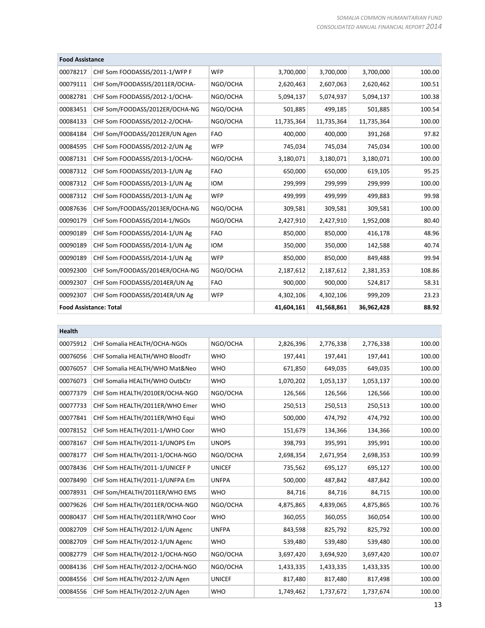|                               | <b>Food Assistance</b>         |            |            |            |            |        |  |  |
|-------------------------------|--------------------------------|------------|------------|------------|------------|--------|--|--|
| 00078217                      | CHF Som FOODASSIS/2011-1/WFP F | <b>WFP</b> | 3,700,000  | 3,700,000  | 3,700,000  | 100.00 |  |  |
| 00079111                      | CHF Som/FOODASSIS/2011ER/OCHA- | NGO/OCHA   | 2,620,463  | 2,607,063  | 2,620,462  | 100.51 |  |  |
| 00082781                      | CHF Som FOODASSIS/2012-1/OCHA- | NGO/OCHA   | 5,094,137  | 5,074,937  | 5,094,137  | 100.38 |  |  |
| 00083451                      | CHF Som/FOODASS/2012ER/OCHA-NG | NGO/OCHA   | 501,885    | 499,185    | 501,885    | 100.54 |  |  |
| 00084133                      | CHF Som FOODASSIS/2012-2/OCHA- | NGO/OCHA   | 11,735,364 | 11,735,364 | 11,735,364 | 100.00 |  |  |
| 00084184                      | CHF Som/FOODASS/2012ER/UN Agen | <b>FAO</b> | 400,000    | 400,000    | 391,268    | 97.82  |  |  |
| 00084595                      | CHF Som FOODASSIS/2012-2/UN Ag | <b>WFP</b> | 745,034    | 745,034    | 745,034    | 100.00 |  |  |
| 00087131                      | CHF Som FOODASSIS/2013-1/OCHA- | NGO/OCHA   | 3,180,071  | 3,180,071  | 3,180,071  | 100.00 |  |  |
| 00087312                      | CHF Som FOODASSIS/2013-1/UN Ag | <b>FAO</b> | 650,000    | 650,000    | 619,105    | 95.25  |  |  |
| 00087312                      | CHF Som FOODASSIS/2013-1/UN Ag | <b>IOM</b> | 299,999    | 299,999    | 299,999    | 100.00 |  |  |
| 00087312                      | CHF Som FOODASSIS/2013-1/UN Ag | <b>WFP</b> | 499,999    | 499,999    | 499,883    | 99.98  |  |  |
| 00087636                      | CHF Som/FOODASS/2013ER/OCHA-NG | NGO/OCHA   | 309,581    | 309,581    | 309,581    | 100.00 |  |  |
| 00090179                      | CHF Som FOODASSIS/2014-1/NGOs  | NGO/OCHA   | 2,427,910  | 2,427,910  | 1,952,008  | 80.40  |  |  |
| 00090189                      | CHF Som FOODASSIS/2014-1/UN Ag | <b>FAO</b> | 850,000    | 850,000    | 416,178    | 48.96  |  |  |
| 00090189                      | CHF Som FOODASSIS/2014-1/UN Ag | <b>IOM</b> | 350,000    | 350,000    | 142,588    | 40.74  |  |  |
| 00090189                      | CHF Som FOODASSIS/2014-1/UN Ag | <b>WFP</b> | 850,000    | 850,000    | 849,488    | 99.94  |  |  |
| 00092300                      | CHF Som/FOODASS/2014ER/OCHA-NG | NGO/OCHA   | 2,187,612  | 2,187,612  | 2,381,353  | 108.86 |  |  |
| 00092307                      | CHF Som FOODASSIS/2014ER/UN Ag | <b>FAO</b> | 900,000    | 900,000    | 524,817    | 58.31  |  |  |
| 00092307                      | CHF Som FOODASSIS/2014ER/UN Ag | <b>WFP</b> | 4,302,106  | 4,302,106  | 999,209    | 23.23  |  |  |
| <b>Food Assistance: Total</b> |                                |            | 41,604,161 | 41,568,861 | 36,962,428 | 88.92  |  |  |

| <b>Health</b> |                                |               |           |           |           |        |
|---------------|--------------------------------|---------------|-----------|-----------|-----------|--------|
| 00075912      | CHF Somalia HEALTH/OCHA-NGOs   | NGO/OCHA      | 2,826,396 | 2,776,338 | 2,776,338 | 100.00 |
| 00076056      | CHF Somalia HEALTH/WHO BloodTr | <b>WHO</b>    | 197,441   | 197,441   | 197,441   | 100.00 |
| 00076057      | CHF Somalia HEALTH/WHO Mat&Neo | <b>WHO</b>    | 671,850   | 649,035   | 649,035   | 100.00 |
| 00076073      | CHF Somalia HEALTH/WHO OutbCtr | <b>WHO</b>    | 1,070,202 | 1,053,137 | 1,053,137 | 100.00 |
| 00077379      | CHF Som HEALTH/2010ER/OCHA-NGO | NGO/OCHA      | 126,566   | 126,566   | 126,566   | 100.00 |
| 00077733      | CHF Som HEALTH/2011ER/WHO Emer | <b>WHO</b>    | 250,513   | 250,513   | 250,513   | 100.00 |
| 00077841      | CHF Som HEALTH/2011ER/WHO Equi | <b>WHO</b>    | 500,000   | 474,792   | 474,792   | 100.00 |
| 00078152      | CHF Som HEALTH/2011-1/WHO Coor | <b>WHO</b>    | 151,679   | 134,366   | 134,366   | 100.00 |
| 00078167      | CHF Som HEALTH/2011-1/UNOPS Em | <b>UNOPS</b>  | 398,793   | 395,991   | 395,991   | 100.00 |
| 00078177      | CHF Som HEALTH/2011-1/OCHA-NGO | NGO/OCHA      | 2,698,354 | 2,671,954 | 2,698,353 | 100.99 |
| 00078436      | CHF Som HEALTH/2011-1/UNICEF P | <b>UNICEF</b> | 735,562   | 695,127   | 695,127   | 100.00 |
| 00078490      | CHF Som HEALTH/2011-1/UNFPA Em | <b>UNFPA</b>  | 500,000   | 487,842   | 487,842   | 100.00 |
| 00078931      | CHF Som/HEALTH/2011ER/WHO EMS  | <b>WHO</b>    | 84,716    | 84,716    | 84,715    | 100.00 |
| 00079626      | CHF Som HEALTH/2011ER/OCHA-NGO | NGO/OCHA      | 4,875,865 | 4,839,065 | 4,875,865 | 100.76 |
| 00080437      | CHF Som HEALTH/2011ER/WHO Coor | <b>WHO</b>    | 360,055   | 360,055   | 360,054   | 100.00 |
| 00082709      | CHF Som HEALTH/2012-1/UN Agenc | <b>UNFPA</b>  | 843,598   | 825,792   | 825,792   | 100.00 |
| 00082709      | CHF Som HEALTH/2012-1/UN Agenc | <b>WHO</b>    | 539,480   | 539,480   | 539,480   | 100.00 |
| 00082779      | CHF Som HEALTH/2012-1/OCHA-NGO | NGO/OCHA      | 3,697,420 | 3,694,920 | 3,697,420 | 100.07 |
| 00084136      | CHF Som HEALTH/2012-2/OCHA-NGO | NGO/OCHA      | 1,433,335 | 1,433,335 | 1,433,335 | 100.00 |
| 00084556      | CHF Som HEALTH/2012-2/UN Agen  | <b>UNICEF</b> | 817,480   | 817,480   | 817,498   | 100.00 |
| 00084556      | CHF Som HEALTH/2012-2/UN Agen  | <b>WHO</b>    | 1,749,462 | 1,737,672 | 1,737,674 | 100.00 |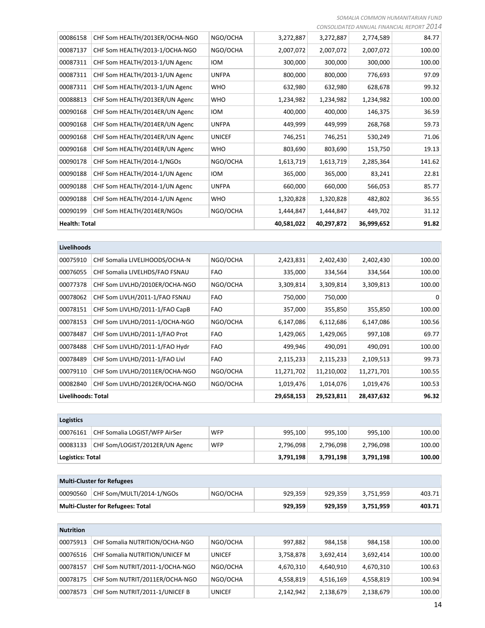*SOMALIA COMMON HUMANITARIAN FUND CONSOLIDATED ANNUAL FINANCIAL REPORT 2014*

|                      |                                |               |            |            | CONJOLIDATLD ANNVOALTIIVAIVUALTILI ONT | <u>_ _ _</u> |
|----------------------|--------------------------------|---------------|------------|------------|----------------------------------------|--------------|
| 00086158             | CHF Som HEALTH/2013ER/OCHA-NGO | NGO/OCHA      | 3,272,887  | 3,272,887  | 2,774,589                              | 84.77        |
| 00087137             | CHF Som HEALTH/2013-1/OCHA-NGO | NGO/OCHA      | 2,007,072  | 2,007,072  | 2,007,072                              | 100.00       |
| 00087311             | CHF Som HEALTH/2013-1/UN Agenc | <b>IOM</b>    | 300,000    | 300,000    | 300,000                                | 100.00       |
| 00087311             | CHF Som HEALTH/2013-1/UN Agenc | <b>UNFPA</b>  | 800,000    | 800,000    | 776,693                                | 97.09        |
| 00087311             | CHF Som HEALTH/2013-1/UN Agenc | <b>WHO</b>    | 632,980    | 632,980    | 628,678                                | 99.32        |
| 00088813             | CHF Som HEALTH/2013ER/UN Agenc | <b>WHO</b>    | 1,234,982  | 1,234,982  | 1,234,982                              | 100.00       |
| 00090168             | CHF Som HEALTH/2014ER/UN Agenc | <b>IOM</b>    | 400,000    | 400,000    | 146,375                                | 36.59        |
| 00090168             | CHF Som HEALTH/2014ER/UN Agenc | <b>UNFPA</b>  | 449,999    | 449,999    | 268,768                                | 59.73        |
| 00090168             | CHF Som HEALTH/2014ER/UN Agenc | <b>UNICEF</b> | 746,251    | 746,251    | 530,249                                | 71.06        |
| 00090168             | CHF Som HEALTH/2014ER/UN Agenc | <b>WHO</b>    | 803,690    | 803,690    | 153,750                                | 19.13        |
| 00090178             | CHF Som HEALTH/2014-1/NGOs     | NGO/OCHA      | 1,613,719  | 1,613,719  | 2,285,364                              | 141.62       |
| 00090188             | CHF Som HEALTH/2014-1/UN Agenc | <b>IOM</b>    | 365,000    | 365,000    | 83,241                                 | 22.81        |
| 00090188             | CHF Som HEALTH/2014-1/UN Agenc | <b>UNFPA</b>  | 660,000    | 660,000    | 566,053                                | 85.77        |
| 00090188             | CHF Som HEALTH/2014-1/UN Agenc | <b>WHO</b>    | 1,320,828  | 1,320,828  | 482,802                                | 36.55        |
| 00090199             | CHF Som HEALTH/2014ER/NGOs     | NGO/OCHA      | 1,444,847  | 1,444,847  | 449,702                                | 31.12        |
| <b>Health: Total</b> |                                |               | 40,581,022 | 40,297,872 | 36,999,652                             | 91.82        |
|                      |                                |               |            |            |                                        |              |

| Livelihoods               |                                |            |            |            |            |        |
|---------------------------|--------------------------------|------------|------------|------------|------------|--------|
| 00075910                  | CHF Somalia LIVELIHOODS/OCHA-N | NGO/OCHA   | 2,423,831  | 2,402,430  | 2,402,430  | 100.00 |
| 00076055                  | CHF Somalia LIVELHDS/FAO FSNAU | <b>FAO</b> | 335,000    | 334,564    | 334,564    | 100.00 |
| 00077378                  | CHF Som LIVLHD/2010ER/OCHA-NGO | NGO/OCHA   | 3,309,814  | 3,309,814  | 3,309,813  | 100.00 |
| 00078062                  | CHF Som LIVLH/2011-1/FAO FSNAU | <b>FAO</b> | 750,000    | 750,000    |            | 0      |
| 00078151                  | CHF Som LIVLHD/2011-1/FAO CapB | <b>FAO</b> | 357,000    | 355,850    | 355,850    | 100.00 |
| 00078153                  | CHF Som LIVLHD/2011-1/OCHA-NGO | NGO/OCHA   | 6,147,086  | 6,112,686  | 6,147,086  | 100.56 |
| 00078487                  | CHF Som LIVLHD/2011-1/FAO Prot | <b>FAO</b> | 1,429,065  | 1,429,065  | 997,108    | 69.77  |
| 00078488                  | CHF Som LIVLHD/2011-1/FAO Hydr | <b>FAO</b> | 499,946    | 490,091    | 490,091    | 100.00 |
| 00078489                  | CHF Som LIVLHD/2011-1/FAO Livl | <b>FAO</b> | 2,115,233  | 2,115,233  | 2,109,513  | 99.73  |
| 00079110                  | CHF Som LIVLHD/2011ER/OCHA-NGO | NGO/OCHA   | 11,271,702 | 11,210,002 | 11,271,701 | 100.55 |
| 00082840                  | CHF Som LIVLHD/2012ER/OCHA-NGO | NGO/OCHA   | 1,019,476  | 1,014,076  | 1,019,476  | 100.53 |
| <b>Livelihoods: Total</b> |                                |            | 29,658,153 | 29,523,811 | 28,437,632 | 96.32  |

| <b>Logistics</b>        |                                |            |           |           |           |        |
|-------------------------|--------------------------------|------------|-----------|-----------|-----------|--------|
| 00076161                | CHF Somalia LOGIST/WFP AirSer  | <b>WFP</b> | 995,100   | 995.100   | 995,100   | 100.00 |
| 00083133                | CHF Som/LOGIST/2012ER/UN Agenc | <b>WFP</b> | 2,796,098 | 2,796,098 | 2,796,098 | 100.00 |
| <b>Logistics: Total</b> |                                |            | 3,791,198 | 3,791,198 | 3,791,198 | 100.00 |
|                         |                                |            |           |           |           |        |

| <b>Multi-Cluster for Refugees</b> |                                   |          |         |         |           |        |
|-----------------------------------|-----------------------------------|----------|---------|---------|-----------|--------|
| 00090560                          | CHF Som/MULTI/2014-1/NGOs         | NGO/OCHA | 929.359 | 929.359 | 3.751.959 | 403.71 |
|                                   | Multi-Cluster for Refugees: Total |          | 929.359 | 929.359 | 3.751.959 | 403.71 |

| <b>Nutrition</b> |                                |               |           |           |           |        |  |
|------------------|--------------------------------|---------------|-----------|-----------|-----------|--------|--|
| 00075913         | CHF Somalia NUTRITION/OCHA-NGO | NGO/OCHA      | 997,882   | 984.158   | 984,158   | 100.00 |  |
| 00076516         | CHF Somalia NUTRITION/UNICEF M | <b>UNICEF</b> | 3,758,878 | 3,692,414 | 3,692,414 | 100.00 |  |
| 00078157         | CHF Som NUTRIT/2011-1/OCHA-NGO | NGO/OCHA      | 4.670.310 | 4.640.910 | 4,670,310 | 100.63 |  |
| 00078175         | CHF Som NUTRIT/2011ER/OCHA-NGO | NGO/OCHA      | 4,558,819 | 4,516,169 | 4,558,819 | 100.94 |  |
| 00078573         | CHF Som NUTRIT/2011-1/UNICEF B | <b>UNICEF</b> | 2,142,942 | 2,138,679 | 2,138,679 | 100.00 |  |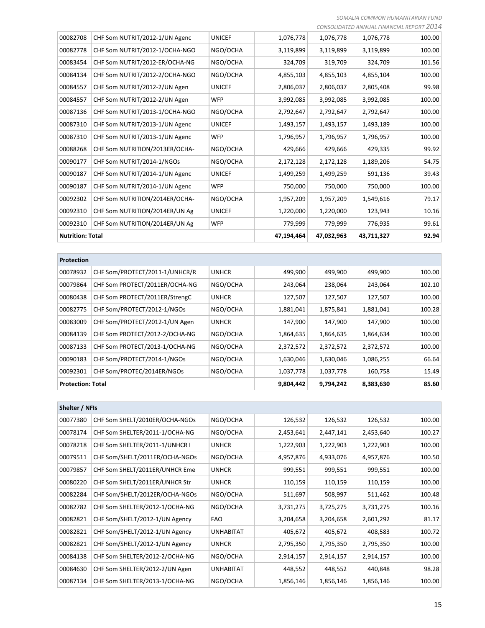*SOMALIA COMMON HUMANITARIAN FUND*

|                         |                                |               |            |            |            | CONSOLIDATED ANNUAL FINANCIAL REPORT 2014 |
|-------------------------|--------------------------------|---------------|------------|------------|------------|-------------------------------------------|
| 00082708                | CHF Som NUTRIT/2012-1/UN Agenc | <b>UNICEF</b> | 1,076,778  | 1,076,778  | 1,076,778  | 100.00                                    |
| 00082778                | CHF Som NUTRIT/2012-1/OCHA-NGO | NGO/OCHA      | 3,119,899  | 3,119,899  | 3,119,899  | 100.00                                    |
| 00083454                | CHF Som NUTRIT/2012-ER/OCHA-NG | NGO/OCHA      | 324,709    | 319,709    | 324,709    | 101.56                                    |
| 00084134                | CHF Som NUTRIT/2012-2/OCHA-NGO | NGO/OCHA      | 4,855,103  | 4,855,103  | 4,855,104  | 100.00                                    |
| 00084557                | CHF Som NUTRIT/2012-2/UN Agen  | <b>UNICEF</b> | 2,806,037  | 2,806,037  | 2,805,408  | 99.98                                     |
| 00084557                | CHF Som NUTRIT/2012-2/UN Agen  | <b>WFP</b>    | 3,992,085  | 3,992,085  | 3,992,085  | 100.00                                    |
| 00087136                | CHF Som NUTRIT/2013-1/OCHA-NGO | NGO/OCHA      | 2,792,647  | 2,792,647  | 2,792,647  | 100.00                                    |
| 00087310                | CHF Som NUTRIT/2013-1/UN Agenc | <b>UNICEF</b> | 1,493,157  | 1,493,157  | 1,493,189  | 100.00                                    |
| 00087310                | CHF Som NUTRIT/2013-1/UN Agenc | <b>WFP</b>    | 1,796,957  | 1,796,957  | 1,796,957  | 100.00                                    |
| 00088268                | CHF Som NUTRITION/2013ER/OCHA- | NGO/OCHA      | 429,666    | 429,666    | 429,335    | 99.92                                     |
| 00090177                | CHF Som NUTRIT/2014-1/NGOs     | NGO/OCHA      | 2,172,128  | 2,172,128  | 1,189,206  | 54.75                                     |
| 00090187                | CHF Som NUTRIT/2014-1/UN Agenc | <b>UNICEF</b> | 1,499,259  | 1,499,259  | 591,136    | 39.43                                     |
| 00090187                | CHF Som NUTRIT/2014-1/UN Agenc | <b>WFP</b>    | 750,000    | 750,000    | 750,000    | 100.00                                    |
| 00092302                | CHF Som NUTRITION/2014ER/OCHA- | NGO/OCHA      | 1,957,209  | 1,957,209  | 1,549,616  | 79.17                                     |
| 00092310                | CHF Som NUTRITION/2014ER/UN Ag | <b>UNICEF</b> | 1,220,000  | 1,220,000  | 123,943    | 10.16                                     |
| 00092310                | CHF Som NUTRITION/2014ER/UN Ag | <b>WFP</b>    | 779,999    | 779,999    | 776,935    | 99.61                                     |
| <b>Nutrition: Total</b> |                                |               | 47,194,464 | 47,032,963 | 43,711,327 | 92.94                                     |

| <b>Protection</b>        |                                |              |           |           |           |        |
|--------------------------|--------------------------------|--------------|-----------|-----------|-----------|--------|
| 00078932                 | CHF Som/PROTECT/2011-1/UNHCR/R | <b>UNHCR</b> | 499,900   | 499,900   | 499,900   | 100.00 |
| 00079864                 | CHF Som PROTECT/2011ER/OCHA-NG | NGO/OCHA     | 243,064   | 238,064   | 243,064   | 102.10 |
| 00080438                 | CHF Som PROTECT/2011ER/StrengC | <b>UNHCR</b> | 127,507   | 127,507   | 127,507   | 100.00 |
| 00082775                 | CHF Som/PROTECT/2012-1/NGOs    | NGO/OCHA     | 1,881,041 | 1,875,841 | 1,881,041 | 100.28 |
| 00083009                 | CHF Som/PROTECT/2012-1/UN Agen | <b>UNHCR</b> | 147,900   | 147,900   | 147,900   | 100.00 |
| 00084139                 | CHF Som PROTECT/2012-2/OCHA-NG | NGO/OCHA     | 1,864,635 | 1,864,635 | 1,864,634 | 100.00 |
| 00087133                 | CHF Som PROTECT/2013-1/OCHA-NG | NGO/OCHA     | 2,372,572 | 2,372,572 | 2,372,572 | 100.00 |
| 00090183                 | CHF Som/PROTECT/2014-1/NGOs    | NGO/OCHA     | 1,630,046 | 1,630,046 | 1,086,255 | 66.64  |
| 00092301                 | CHF Som/PROTEC/2014ER/NGOs     | NGO/OCHA     | 1,037,778 | 1,037,778 | 160,758   | 15.49  |
| <b>Protection: Total</b> |                                |              | 9,804,442 | 9,794,242 | 8,383,630 | 85.60  |

| Shelter / NFIs |                                |                  |           |           |           |        |
|----------------|--------------------------------|------------------|-----------|-----------|-----------|--------|
| 00077380       | CHF Som SHELT/2010ER/OCHA-NGOs | NGO/OCHA         | 126,532   | 126,532   | 126,532   | 100.00 |
| 00078174       | CHF Som SHELTER/2011-1/OCHA-NG | NGO/OCHA         | 2,453,641 | 2,447,141 | 2,453,640 | 100.27 |
| 00078218       | CHF Som SHELTER/2011-1/UNHCR I | <b>UNHCR</b>     | 1,222,903 | 1,222,903 | 1,222,903 | 100.00 |
| 00079511       | CHF Som/SHELT/2011ER/OCHA-NGOs | NGO/OCHA         | 4,957,876 | 4,933,076 | 4,957,876 | 100.50 |
| 00079857       | CHF Som SHELT/2011ER/UNHCR Eme | <b>UNHCR</b>     | 999,551   | 999,551   | 999,551   | 100.00 |
| 00080220       | CHF Som SHELT/2011ER/UNHCR Str | <b>UNHCR</b>     | 110,159   | 110,159   | 110,159   | 100.00 |
| 00082284       | CHF Som/SHELT/2012ER/OCHA-NGOs | NGO/OCHA         | 511,697   | 508,997   | 511,462   | 100.48 |
| 00082782       | CHF Som SHELTER/2012-1/OCHA-NG | NGO/OCHA         | 3,731,275 | 3,725,275 | 3,731,275 | 100.16 |
| 00082821       | CHF Som/SHELT/2012-1/UN Agency | <b>FAO</b>       | 3,204,658 | 3,204,658 | 2,601,292 | 81.17  |
| 00082821       | CHF Som/SHELT/2012-1/UN Agency | <b>UNHABITAT</b> | 405,672   | 405,672   | 408,583   | 100.72 |
| 00082821       | CHF Som/SHELT/2012-1/UN Agency | <b>UNHCR</b>     | 2,795,350 | 2,795,350 | 2,795,350 | 100.00 |
| 00084138       | CHF Som SHELTER/2012-2/OCHA-NG | NGO/OCHA         | 2,914,157 | 2,914,157 | 2,914,157 | 100.00 |
| 00084630       | CHF Som SHELTER/2012-2/UN Agen | <b>UNHABITAT</b> | 448,552   | 448,552   | 440,848   | 98.28  |
| 00087134       | CHF Som SHELTER/2013-1/OCHA-NG | NGO/OCHA         | 1,856,146 | 1,856,146 | 1,856,146 | 100.00 |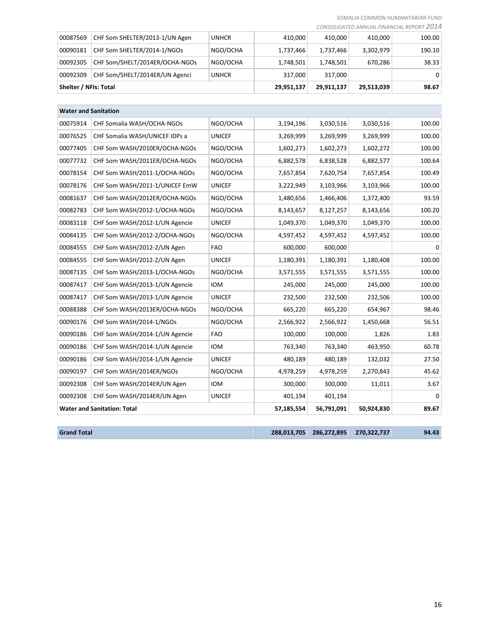*SOMALIA COMMON HUMANITARIAN FUND*

|  | CONSOLIDATED ANNUAL FINANCIAL REPORT 2014 |  |  |  |  |
|--|-------------------------------------------|--|--|--|--|
|--|-------------------------------------------|--|--|--|--|

| Shelter / NFIs: Total |                                |              | 29,951,137 | 29.911.137 | 29,513,039 | 98.67    |
|-----------------------|--------------------------------|--------------|------------|------------|------------|----------|
| 00092309              | CHF Som/SHELT/2014ER/UN Agenci | <b>UNHCR</b> | 317.000    | 317,000    |            | $\Omega$ |
| 00092305              | CHF Som/SHELT/2014ER/OCHA-NGOs | NGO/OCHA     | 1,748,501  | 1,748,501  | 670.286    | 38.33    |
| 00090181              | CHF Som SHELTER/2014-1/NGOs    | NGO/OCHA     | 1,737,466  | 1,737,466  | 3,302,979  | 190.10   |
| 00087569              | CHF Som SHELTER/2013-1/UN Agen | <b>UNHCR</b> | 410.000    | 410.000    | 410.000    | 100.00   |

| <b>Water and Sanitation</b> |                                    |               |             |             |             |          |
|-----------------------------|------------------------------------|---------------|-------------|-------------|-------------|----------|
| 00075914                    | CHF Somalia WASH/OCHA-NGOs         | NGO/OCHA      | 3,194,196   | 3,030,516   | 3,030,516   | 100.00   |
| 00076525                    | CHF Somalia WASH/UNICEF IDPs a     | <b>UNICEF</b> | 3,269,999   | 3,269,999   | 3,269,999   | 100.00   |
| 00077405                    | CHF Som WASH/2010ER/OCHA-NGOs      | NGO/OCHA      | 1,602,273   | 1,602,273   | 1,602,272   | 100.00   |
| 00077732                    | CHF Som WASH/2011ER/OCHA-NGOs      | NGO/OCHA      | 6,882,578   | 6,838,528   | 6,882,577   | 100.64   |
| 00078154                    | CHF Som WASH/2011-1/OCHA-NGOs      | NGO/OCHA      | 7,657,854   | 7,620,754   | 7,657,854   | 100.49   |
| 00078176                    | CHF Som WASH/2011-1/UNICEF EmW     | <b>UNICEF</b> | 3,222,949   | 3,103,966   | 3,103,966   | 100.00   |
| 00081637                    | CHF Som WASH/2012ER/OCHA-NGOs      | NGO/OCHA      | 1,480,656   | 1,466,406   | 1,372,400   | 93.59    |
| 00082783                    | CHF Som WASH/2012-1/OCHA-NGOs      | NGO/OCHA      | 8,143,657   | 8,127,257   | 8,143,656   | 100.20   |
| 00083118                    | CHF Som WASH/2012-1/UN Agencie     | <b>UNICEF</b> | 1,049,370   | 1,049,370   | 1,049,370   | 100.00   |
| 00084135                    | CHF Som WASH/2012-2/OCHA-NGOs      | NGO/OCHA      | 4,597,452   | 4,597,452   | 4,597,452   | 100.00   |
| 00084555                    | CHF Som WASH/2012-2/UN Agen        | <b>FAO</b>    | 600,000     | 600,000     |             | 0        |
| 00084555                    | CHF Som WASH/2012-2/UN Agen        | <b>UNICEF</b> | 1,180,391   | 1,180,391   | 1,180,408   | 100.00   |
| 00087135                    | CHF Som WASH/2013-1/OCHA-NGOs      | NGO/OCHA      | 3,571,555   | 3,571,555   | 3,571,555   | 100.00   |
| 00087417                    | CHF Som WASH/2013-1/UN Agencie     | <b>IOM</b>    | 245,000     | 245,000     | 245,000     | 100.00   |
| 00087417                    | CHF Som WASH/2013-1/UN Agencie     | <b>UNICEF</b> | 232,500     | 232,500     | 232,506     | 100.00   |
| 00088388                    | CHF Som WASH/2013ER/OCHA-NGOs      | NGO/OCHA      | 665,220     | 665,220     | 654,967     | 98.46    |
| 00090176                    | CHF Som WASH/2014-1/NGOs           | NGO/OCHA      | 2,566,922   | 2,566,922   | 1,450,668   | 56.51    |
| 00090186                    | CHF Som WASH/2014-1/UN Agencie     | <b>FAO</b>    | 100,000     | 100,000     | 1,826       | 1.83     |
| 00090186                    | CHF Som WASH/2014-1/UN Agencie     | <b>IOM</b>    | 763,340     | 763,340     | 463,950     | 60.78    |
| 00090186                    | CHF Som WASH/2014-1/UN Agencie     | <b>UNICEF</b> | 480,189     | 480,189     | 132,032     | 27.50    |
| 00090197                    | CHF Som WASH/2014ER/NGOs           | NGO/OCHA      | 4,978,259   | 4,978,259   | 2,270,843   | 45.62    |
| 00092308                    | CHF Som WASH/2014ER/UN Agen        | <b>IOM</b>    | 300,000     | 300,000     | 11,011      | 3.67     |
| 00092308                    | CHF Som WASH/2014ER/UN Agen        | <b>UNICEF</b> | 401,194     | 401,194     |             | $\Omega$ |
|                             | <b>Water and Sanitation: Total</b> |               | 57,185,554  | 56,791,091  | 50,924,830  | 89.67    |
|                             |                                    |               |             |             |             |          |
| <b>Grand Total</b>          |                                    |               | 288,013,705 | 286,272,895 | 270,322,737 | 94.43    |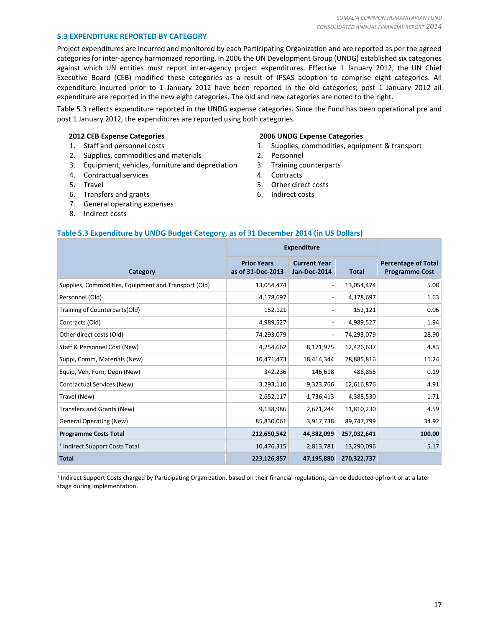# **5.3 EXPENDITURE REPORTED BY CATEGORY**

Project expenditures are incurred and monitored by each Participating Organization and are reported as per the agreed categories for inter-agency harmonized reporting. In 2006 the UN Development Group (UNDG) established six categories against which UN entities must report inter-agency project expenditures. Effective 1 January 2012, the UN Chief Executive Board (CEB) modified these categories as a result of IPSAS adoption to comprise eight categories. All expenditure incurred prior to 1 January 2012 have been reported in the old categories; post 1 January 2012 all expenditure are reported in the new eight categories. The old and new categories are noted to the right.

Table 5.3 reflects expenditure reported in the UNDG expense categories. Since the Fund has been operational pre and post 1 January 2012, the expenditures are reported using both categories.

#### **2012 CEB Expense Categories**

- 1. Staff and personnel costs
- 2. Supplies, commodities and materials
- 3. Equipment, vehicles, furniture and depreciation
- 4. Contractual services
- 5. Travel
- 6. Transfers and grants
- 7. General operating expenses
- 8. Indirect costs

\_\_\_\_\_\_\_\_\_\_\_\_\_\_\_\_\_\_\_\_\_\_

#### **2006 UNDG Expense Categories**

- 1. Supplies, commodities, equipment & transport
- 2. Personnel
- 3. Training counterparts
- 4. Contracts
- 5. Other direct costs
- 6. Indirect costs

# **Table 5.3 Expenditure by UNDG Budget Category, as of 31 December 2014 (in US Dollars)**

|                                                      | <b>Expenditure</b>                      |                                     |              |                                                     |
|------------------------------------------------------|-----------------------------------------|-------------------------------------|--------------|-----------------------------------------------------|
| Category                                             | <b>Prior Years</b><br>as of 31-Dec-2013 | <b>Current Year</b><br>Jan-Dec-2014 | <b>Total</b> | <b>Percentage of Total</b><br><b>Programme Cost</b> |
| Supplies, Commodities, Equipment and Transport (Old) | 13,054,474                              |                                     | 13,054,474   | 5.08                                                |
| Personnel (Old)                                      | 4,178,697                               |                                     | 4,178,697    | 1.63                                                |
| Training of Counterparts(Old)                        | 152,121                                 |                                     | 152,121      | 0.06                                                |
| Contracts (Old)                                      | 4,989,527                               |                                     | 4,989,527    | 1.94                                                |
| Other direct costs (Old)                             | 74,293,079                              |                                     | 74,293,079   | 28.90                                               |
| Staff & Personnel Cost (New)                         | 4,254,662                               | 8,171,975                           | 12,426,637   | 4.83                                                |
| Suppl, Comm, Materials (New)                         | 10,471,473                              | 18,414,344                          | 28,885,816   | 11.24                                               |
| Equip, Veh, Furn, Depn (New)                         | 342,236                                 | 146,618                             | 488,855      | 0.19                                                |
| Contractual Services (New)                           | 3,293,110                               | 9,323,766                           | 12,616,876   | 4.91                                                |
| Travel (New)                                         | 2,652,117                               | 1,736,413                           | 4,388,530    | 1.71                                                |
| Transfers and Grants (New)                           | 9,138,986                               | 2,671,244                           | 11,810,230   | 4.59                                                |
| <b>General Operating (New)</b>                       | 85,830,061                              | 3,917,738                           | 89,747,799   | 34.92                                               |
| <b>Programme Costs Total</b>                         | 212,650,542                             | 44,382,099                          | 257,032,641  | 100.00                                              |
| <sup>1</sup> Indirect Support Costs Total            | 10,476,315                              | 2,813,781                           | 13,290,096   | 5.17                                                |
| <b>Total</b>                                         | 223,126,857                             | 47,195,880                          | 270,322,737  |                                                     |

**1** Indirect Support Costs charged by Participating Organization, based on their financial regulations, can be deducted upfront or at a later stage during implementation.